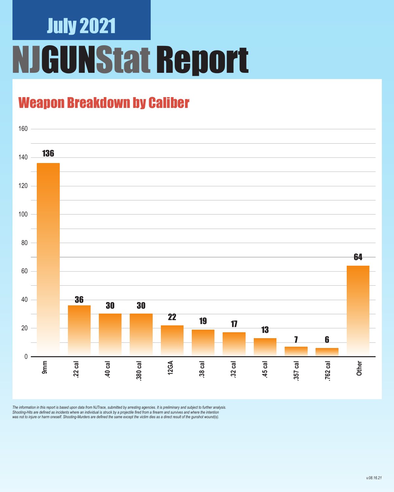## July 2021 **GUNStat Report**

### Weapon Breakdown by Caliber



The information in this report is based upon data from NJTrace, submitted by arresting agencies. It is preliminary and subject to further analysis.<br>Shooting-Hits are defined as incidents where an individual is struck by a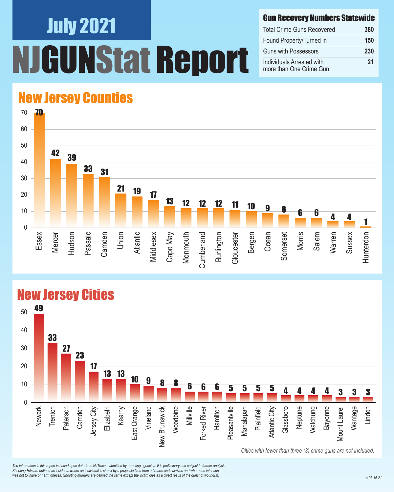# July 2021 Nstat Report

#### Gun Recovery Numbers Statewide

| <b>Total Crime Guns Recovered</b>                    | 380 |
|------------------------------------------------------|-----|
| Found Property/Turned in                             | 150 |
| <b>Guns with Possessors</b>                          | 230 |
| Individuals Arrested with<br>more than One Crime Gun | 21  |

#### New Jersey Counties



#### New Jersey Cities



*The information in this report is based upon data from NJTrace, submitted by arresting agencies. It is preliminary and subject to further analysis. Shooting-Hits are defined as incidents where an individual is struck by a projectile fired from a firearm and survives and where the intention*  was not to injure or harm oneself. Shooting-Murders are defined the same except the victim dies as a direct result of the gunshot wound(s).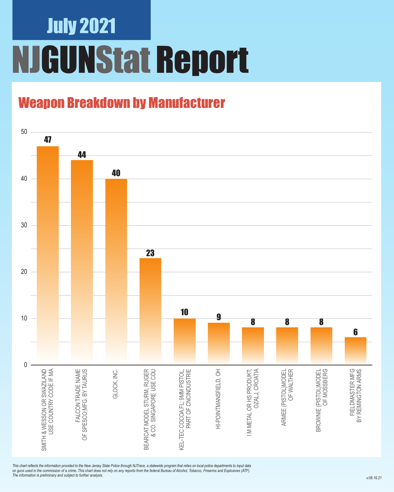### July 2021 NJGUNStat Report

### Weapon Breakdown by Manufacturer



*This chart reflects the information provided to the New Jersey State Police through NJTrace, a statewide program that relies on local police departments to input data on guns used in the commission of a crime. This chart does not rely on any reports from the federal Bureau of Alcohol, Tobacco, Firearms and Explosives (ATF). The information is preliminary and subject to further analysis.*